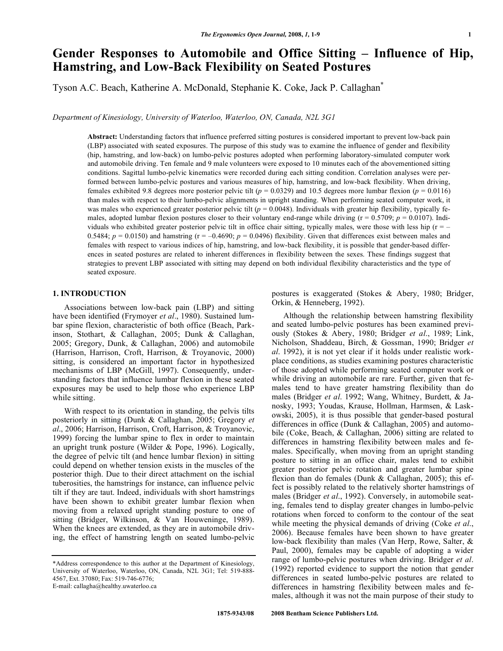# **Gender Responses to Automobile and Office Sitting – Influence of Hip, Hamstring, and Low-Back Flexibility on Seated Postures**

Tyson A.C. Beach, Katherine A. McDonald, Stephanie K. Coke, Jack P. Callaghan**\***

*Department of Kinesiology, University of Waterloo, Waterloo, ON, Canada, N2L 3G1* 

**Abstract:** Understanding factors that influence preferred sitting postures is considered important to prevent low-back pain (LBP) associated with seated exposures. The purpose of this study was to examine the influence of gender and flexibility (hip, hamstring, and low-back) on lumbo-pelvic postures adopted when performing laboratory-simulated computer work and automobile driving. Ten female and 9 male volunteers were exposed to 10 minutes each of the abovementioned sitting conditions. Sagittal lumbo-pelvic kinematics were recorded during each sitting condition. Correlation analyses were performed between lumbo-pelvic postures and various measures of hip, hamstring, and low-back flexibility. When driving, females exhibited 9.8 degrees more posterior pelvic tilt ( $p = 0.0329$ ) and 10.5 degrees more lumbar flexion ( $p = 0.0116$ ) than males with respect to their lumbo-pelvic alignments in upright standing. When performing seated computer work, it was males who experienced greater posterior pelvic tilt  $(p = 0.0048)$ . Individuals with greater hip flexibility, typically females, adopted lumbar flexion postures closer to their voluntary end-range while driving  $(r = 0.5709; p = 0.0107)$ . Individuals who exhibited greater posterior pelvic tilt in office chair sitting, typically males, were those with less hip  $(r = -1)$ 0.5484;  $p = 0.0150$ ) and hamstring ( $r = -0.4690$ ;  $p = 0.0496$ ) flexibility. Given that differences exist between males and females with respect to various indices of hip, hamstring, and low-back flexibility, it is possible that gender-based differences in seated postures are related to inherent differences in flexibility between the sexes. These findings suggest that strategies to prevent LBP associated with sitting may depend on both individual flexibility characteristics and the type of seated exposure.

# **1. INTRODUCTION**

 Associations between low-back pain (LBP) and sitting have been identified (Frymoyer *et al*., 1980). Sustained lumbar spine flexion, characteristic of both office (Beach, Parkinson, Stothart, & Callaghan, 2005; Dunk & Callaghan, 2005; Gregory, Dunk, & Callaghan, 2006) and automobile (Harrison, Harrison, Croft, Harrison, & Troyanovic, 2000) sitting, is considered an important factor in hypothesized mechanisms of LBP (McGill, 1997). Consequently, understanding factors that influence lumbar flexion in these seated exposures may be used to help those who experience LBP while sitting.

 With respect to its orientation in standing, the pelvis tilts posteriorly in sitting (Dunk & Callaghan, 2005; Gregory *et al*., 2006; Harrison, Harrison, Croft, Harrison, & Troyanovic, 1999) forcing the lumbar spine to flex in order to maintain an upright trunk posture (Wilder & Pope, 1996). Logically, the degree of pelvic tilt (and hence lumbar flexion) in sitting could depend on whether tension exists in the muscles of the posterior thigh. Due to their direct attachment on the ischial tuberosities, the hamstrings for instance, can influence pelvic tilt if they are taut. Indeed, individuals with short hamstrings have been shown to exhibit greater lumbar flexion when moving from a relaxed upright standing posture to one of sitting (Bridger, Wilkinson, & Van Houweninge, 1989). When the knees are extended, as they are in automobile driving, the effect of hamstring length on seated lumbo-pelvic

E-mail: callagha@healthy.uwaterloo.ca

postures is exaggerated (Stokes & Abery, 1980; Bridger, Orkin, & Henneberg, 1992).

 Although the relationship between hamstring flexibility and seated lumbo-pelvic postures has been examined previously (Stokes & Abery, 1980; Bridger *et al*., 1989; Link, Nicholson, Shaddeau, Birch, & Gossman, 1990; Bridger *et al*. 1992), it is not yet clear if it holds under realistic workplace conditions, as studies examining postures characteristic of those adopted while performing seated computer work or while driving an automobile are rare. Further, given that females tend to have greater hamstring flexibility than do males (Bridger *et al*. 1992; Wang, Whitney, Burdett, & Janosky, 1993; Youdas, Krause, Hollman, Harmsen, & Laskowski, 2005), it is thus possible that gender-based postural differences in office (Dunk & Callaghan, 2005) and automobile (Coke, Beach, & Callaghan, 2006) sitting are related to differences in hamstring flexibility between males and females. Specifically, when moving from an upright standing posture to sitting in an office chair, males tend to exhibit greater posterior pelvic rotation and greater lumbar spine flexion than do females (Dunk & Callaghan, 2005); this effect is possibly related to the relatively shorter hamstrings of males (Bridger *et al*., 1992). Conversely, in automobile seating, females tend to display greater changes in lumbo-pelvic rotations when forced to conform to the contour of the seat while meeting the physical demands of driving (Coke *et al*., 2006). Because females have been shown to have greater low-back flexibility than males (Van Herp, Rowe, Salter, & Paul, 2000), females may be capable of adopting a wider range of lumbo-pelvic postures when driving. Bridger *et al*. (1992) reported evidence to support the notion that gender differences in seated lumbo-pelvic postures are related to differences in hamstring flexibility between males and females, although it was not the main purpose of their study to

<sup>\*</sup>Address correspondence to this author at the Department of Kinesiology, University of Waterloo, Waterloo, ON, Canada, N2L 3G1; Tel: 519-888- 4567, Ext. 37080; Fax: 519-746-6776;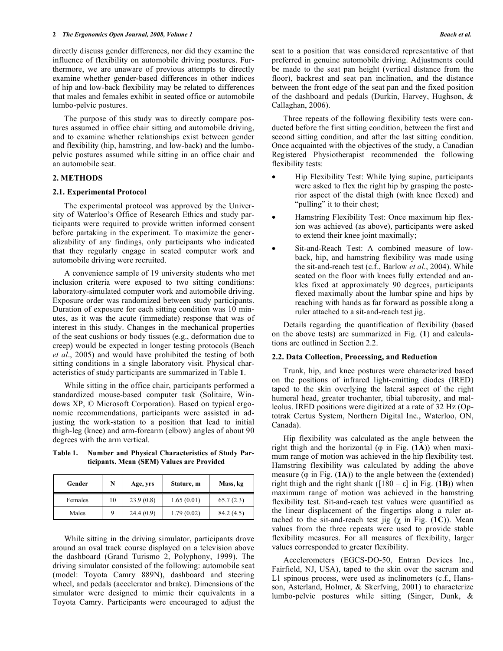directly discuss gender differences, nor did they examine the influence of flexibility on automobile driving postures. Furthermore, we are unaware of previous attempts to directly examine whether gender-based differences in other indices of hip and low-back flexibility may be related to differences that males and females exhibit in seated office or automobile lumbo-pelvic postures.

 The purpose of this study was to directly compare postures assumed in office chair sitting and automobile driving, and to examine whether relationships exist between gender and flexibility (hip, hamstring, and low-back) and the lumbopelvic postures assumed while sitting in an office chair and an automobile seat.

# **2. METHODS**

#### **2.1. Experimental Protocol**

 The experimental protocol was approved by the University of Waterloo's Office of Research Ethics and study participants were required to provide written informed consent before partaking in the experiment. To maximize the generalizability of any findings, only participants who indicated that they regularly engage in seated computer work and automobile driving were recruited.

 A convenience sample of 19 university students who met inclusion criteria were exposed to two sitting conditions: laboratory-simulated computer work and automobile driving. Exposure order was randomized between study participants. Duration of exposure for each sitting condition was 10 minutes, as it was the acute (immediate) response that was of interest in this study. Changes in the mechanical properties of the seat cushions or body tissues (e.g., deformation due to creep) would be expected in longer testing protocols (Beach *et al*., 2005) and would have prohibited the testing of both sitting conditions in a single laboratory visit. Physical characteristics of study participants are summarized in Table **1**.

 While sitting in the office chair, participants performed a standardized mouse-based computer task (Solitaire, Windows XP, © Microsoft Corporation). Based on typical ergonomic recommendations, participants were assisted in adjusting the work-station to a position that lead to initial thigh-leg (knee) and arm-forearm (elbow) angles of about 90 degrees with the arm vertical.

**Table 1. Number and Physical Characteristics of Study Participants. Mean (SEM) Values are Provided** 

| Gender  | N  | Age, yrs  | Stature, m | Mass, kg  |
|---------|----|-----------|------------|-----------|
| Females | 10 | 23.9(0.8) | 1.65(0.01) | 65.7(2.3) |
| Males   | q  | 24.4(0.9) | 1.79(0.02) | 84.2(4.5) |

 While sitting in the driving simulator, participants drove around an oval track course displayed on a television above the dashboard (Grand Turismo 2, Polyphony, 1999). The driving simulator consisted of the following: automobile seat (model: Toyota Camry 889N), dashboard and steering wheel, and pedals (accelerator and brake). Dimensions of the simulator were designed to mimic their equivalents in a Toyota Camry. Participants were encouraged to adjust the

seat to a position that was considered representative of that preferred in genuine automobile driving. Adjustments could be made to the seat pan height (vertical distance from the floor), backrest and seat pan inclination, and the distance between the front edge of the seat pan and the fixed position of the dashboard and pedals (Durkin, Harvey, Hughson, & Callaghan, 2006).

 Three repeats of the following flexibility tests were conducted before the first sitting condition, between the first and second sitting condition, and after the last sitting condition. Once acquainted with the objectives of the study, a Canadian Registered Physiotherapist recommended the following flexibility tests:

- Hip Flexibility Test: While lying supine, participants were asked to flex the right hip by grasping the posterior aspect of the distal thigh (with knee flexed) and "pulling" it to their chest;
- Hamstring Flexibility Test: Once maximum hip flexion was achieved (as above), participants were asked to extend their knee joint maximally;
- Sit-and-Reach Test: A combined measure of lowback, hip, and hamstring flexibility was made using the sit-and-reach test (c.f., Barlow *et al*., 2004). While seated on the floor with knees fully extended and ankles fixed at approximately 90 degrees, participants flexed maximally about the lumbar spine and hips by reaching with hands as far forward as possible along a ruler attached to a sit-and-reach test jig.

 Details regarding the quantification of flexibility (based on the above tests) are summarized in Fig. (**1**) and calculations are outlined in Section 2.2.

## **2.2. Data Collection, Processing, and Reduction**

 Trunk, hip, and knee postures were characterized based on the positions of infrared light-emitting diodes (IRED) taped to the skin overlying the lateral aspect of the right humeral head, greater trochanter, tibial tuberosity, and malleolus. IRED positions were digitized at a rate of 32 Hz (Optotrak Certus System, Northern Digital Inc., Waterloo, ON, Canada).

 Hip flexibility was calculated as the angle between the right thigh and the horizontal ( $\varphi$  in Fig. (1A)) when maximum range of motion was achieved in the hip flexibility test. Hamstring flexibility was calculated by adding the above measure  $(\varphi$  in Fig.  $(1A)$ ) to the angle between the (extended) right thigh and the right shank ( $[180 - \varepsilon]$  in Fig. (1B)) when maximum range of motion was achieved in the hamstring flexibility test. Sit-and-reach test values were quantified as the linear displacement of the fingertips along a ruler attached to the sit-and-reach test jig  $(\chi$  in Fig. (1C)). Mean values from the three repeats were used to provide stable flexibility measures. For all measures of flexibility, larger values corresponded to greater flexibility.

 Accelerometers (EGCS-DO-50, Entran Devices Inc., Fairfield, NJ, USA), taped to the skin over the sacrum and L1 spinous process, were used as inclinometers (c.f., Hansson, Asterland, Holmer, & Skerfving, 2001) to characterize lumbo-pelvic postures while sitting (Singer, Dunk, &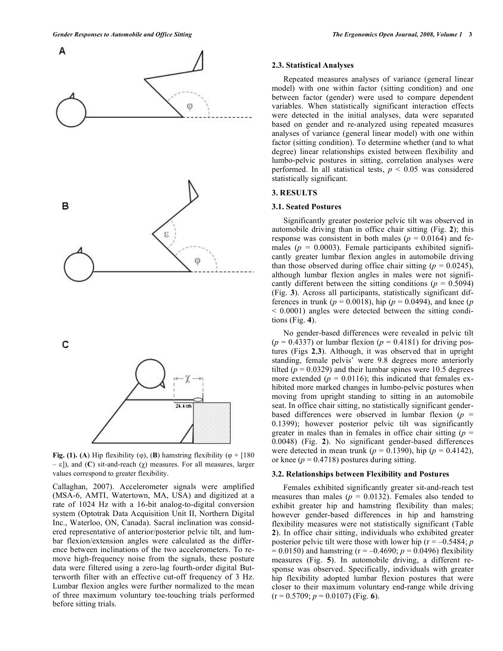

**Fig. (1). (A)** Hip flexibility ( $\varphi$ ), (**B**) hamstring flexibility ( $\varphi$  + [180  $- \varepsilon$ ]), and (**C**) sit-and-reach ( $\gamma$ ) measures. For all measures, larger values correspond to greater flexibility.

Callaghan, 2007). Accelerometer signals were amplified (MSA-6, AMTI, Watertown, MA, USA) and digitized at a rate of 1024 Hz with a 16-bit analog-to-digital conversion system (Optotrak Data Acquisition Unit II, Northern Digital Inc., Waterloo, ON, Canada). Sacral inclination was considered representative of anterior/posterior pelvic tilt, and lumbar flexion/extension angles were calculated as the difference between inclinations of the two accelerometers. To remove high-frequency noise from the signals, these posture data were filtered using a zero-lag fourth-order digital Butterworth filter with an effective cut-off frequency of 3 Hz. Lumbar flexion angles were further normalized to the mean of three maximum voluntary toe-touching trials performed before sitting trials.

#### **2.3. Statistical Analyses**

 Repeated measures analyses of variance (general linear model) with one within factor (sitting condition) and one between factor (gender) were used to compare dependent variables. When statistically significant interaction effects were detected in the initial analyses, data were separated based on gender and re-analyzed using repeated measures analyses of variance (general linear model) with one within factor (sitting condition). To determine whether (and to what degree) linear relationships existed between flexibility and lumbo-pelvic postures in sitting, correlation analyses were performed. In all statistical tests,  $p < 0.05$  was considered statistically significant.

#### **3. RESULTS**

#### **3.1. Seated Postures**

 Significantly greater posterior pelvic tilt was observed in automobile driving than in office chair sitting (Fig. **2**); this response was consistent in both males ( $p = 0.0164$ ) and females ( $p = 0.0003$ ). Female participants exhibited significantly greater lumbar flexion angles in automobile driving than those observed during office chair sitting  $(p = 0.0245)$ , although lumbar flexion angles in males were not significantly different between the sitting conditions ( $p = 0.5094$ ) (Fig. **3**). Across all participants, statistically significant differences in trunk ( $p = 0.0018$ ), hip ( $p = 0.0494$ ), and knee ( $p = 0.0494$ ) < 0.0001) angles were detected between the sitting conditions (Fig. **4**).

 No gender-based differences were revealed in pelvic tilt  $(p = 0.4337)$  or lumbar flexion  $(p = 0.4181)$  for driving postures (Figs **2**,**3**). Although, it was observed that in upright standing, female pelvis' were 9.8 degrees more anteriorly tilted ( $p = 0.0329$ ) and their lumbar spines were 10.5 degrees more extended ( $p = 0.0116$ ); this indicated that females exhibited more marked changes in lumbo-pelvic postures when moving from upright standing to sitting in an automobile seat. In office chair sitting, no statistically significant genderbased differences were observed in lumbar flexion  $(p =$ 0.1399); however posterior pelvic tilt was significantly greater in males than in females in office chair sitting  $(p =$ 0.0048) (Fig. **2**). No significant gender-based differences were detected in mean trunk ( $p = 0.1390$ ), hip ( $p = 0.4142$ ), or knee ( $p = 0.4718$ ) postures during sitting.

## **3.2. Relationships between Flexibility and Postures**

 Females exhibited significantly greater sit-and-reach test measures than males ( $p = 0.0132$ ). Females also tended to exhibit greater hip and hamstring flexibility than males; however gender-based differences in hip and hamstring flexibility measures were not statistically significant (Table **2**). In office chair sitting, individuals who exhibited greater posterior pelvic tilt were those with lower hip ( $r = -0.5484$ ; *p*  $= 0.0150$ ) and hamstring (r = -0.4690; *p* = 0.0496) flexibility measures (Fig. **5**). In automobile driving, a different response was observed. Specifically, individuals with greater hip flexibility adopted lumbar flexion postures that were closer to their maximum voluntary end-range while driving  $(r = 0.5709; p = 0.0107)$  (Fig. 6).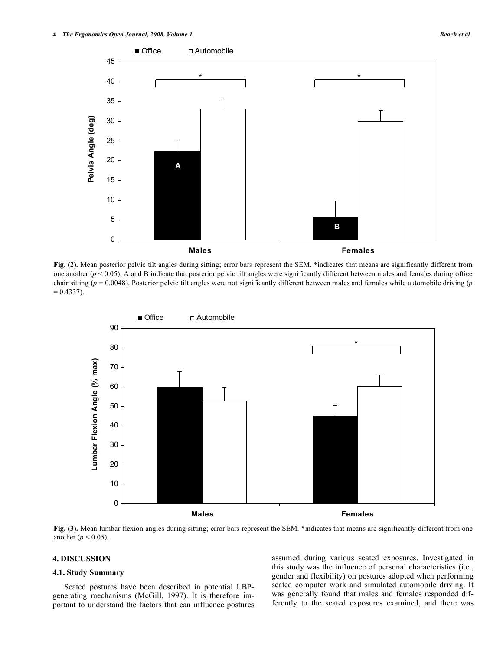

**Fig. (2).** Mean posterior pelvic tilt angles during sitting; error bars represent the SEM. \*indicates that means are significantly different from one another (*p* < 0.05). A and B indicate that posterior pelvic tilt angles were significantly different between males and females during office chair sitting (*p* = 0.0048). Posterior pelvic tilt angles were not significantly different between males and females while automobile driving (*p*  $= 0.4337$ ).



Fig. (3). Mean lumbar flexion angles during sitting; error bars represent the SEM. \*indicates that means are significantly different from one another ( $p < 0.05$ ).

# **4. DISCUSSION**

#### **4.1. Study Summary**

 Seated postures have been described in potential LBPgenerating mechanisms (McGill, 1997). It is therefore important to understand the factors that can influence postures assumed during various seated exposures. Investigated in this study was the influence of personal characteristics (i.e., gender and flexibility) on postures adopted when performing seated computer work and simulated automobile driving. It was generally found that males and females responded differently to the seated exposures examined, and there was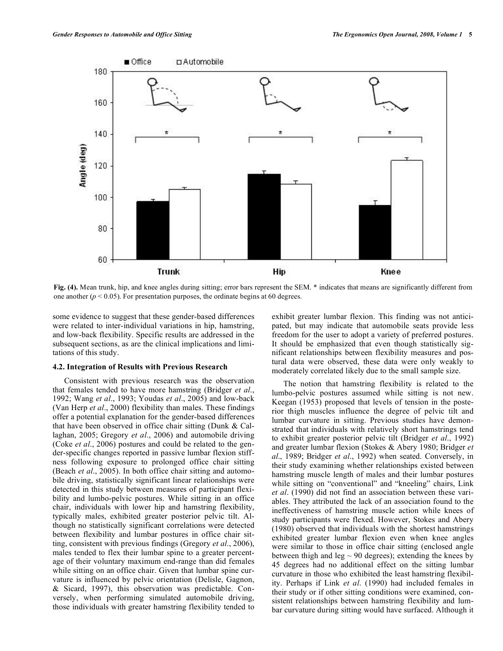

**Fig. (4).** Mean trunk, hip, and knee angles during sitting; error bars represent the SEM. \* indicates that means are significantly different from one another ( $p < 0.05$ ). For presentation purposes, the ordinate begins at 60 degrees.

some evidence to suggest that these gender-based differences were related to inter-individual variations in hip, hamstring, and low-back flexibility. Specific results are addressed in the subsequent sections, as are the clinical implications and limitations of this study.

## **4.2. Integration of Results with Previous Research**

 Consistent with previous research was the observation that females tended to have more hamstring (Bridger *et al*., 1992; Wang *et al*., 1993; Youdas *et al*., 2005) and low-back (Van Herp *et al*., 2000) flexibility than males. These findings offer a potential explanation for the gender-based differences that have been observed in office chair sitting (Dunk & Callaghan, 2005; Gregory *et al*., 2006) and automobile driving (Coke *et al*., 2006) postures and could be related to the gender-specific changes reported in passive lumbar flexion stiffness following exposure to prolonged office chair sitting (Beach *et al*., 2005). In both office chair sitting and automobile driving, statistically significant linear relationships were detected in this study between measures of participant flexibility and lumbo-pelvic postures. While sitting in an office chair, individuals with lower hip and hamstring flexibility, typically males, exhibited greater posterior pelvic tilt. Although no statistically significant correlations were detected between flexibility and lumbar postures in office chair sitting, consistent with previous findings (Gregory *et al*., 2006), males tended to flex their lumbar spine to a greater percentage of their voluntary maximum end-range than did females while sitting on an office chair. Given that lumbar spine curvature is influenced by pelvic orientation (Delisle, Gagnon, & Sicard, 1997), this observation was predictable. Conversely, when performing simulated automobile driving, those individuals with greater hamstring flexibility tended to

exhibit greater lumbar flexion. This finding was not anticipated, but may indicate that automobile seats provide less freedom for the user to adopt a variety of preferred postures. It should be emphasized that even though statistically significant relationships between flexibility measures and postural data were observed, these data were only weakly to moderately correlated likely due to the small sample size.

 The notion that hamstring flexibility is related to the lumbo-pelvic postures assumed while sitting is not new. Keegan (1953) proposed that levels of tension in the posterior thigh muscles influence the degree of pelvic tilt and lumbar curvature in sitting. Previous studies have demonstrated that individuals with relatively short hamstrings tend to exhibit greater posterior pelvic tilt (Bridger *et al*., 1992) and greater lumbar flexion (Stokes & Abery 1980; Bridger *et al*., 1989; Bridger *et al*., 1992) when seated. Conversely, in their study examining whether relationships existed between hamstring muscle length of males and their lumbar postures while sitting on "conventional" and "kneeling" chairs, Link *et al*. (1990) did not find an association between these variables. They attributed the lack of an association found to the ineffectiveness of hamstring muscle action while knees of study participants were flexed. However, Stokes and Abery (1980) observed that individuals with the shortest hamstrings exhibited greater lumbar flexion even when knee angles were similar to those in office chair sitting (enclosed angle between thigh and leg  $\sim$  90 degrees); extending the knees by 45 degrees had no additional effect on the sitting lumbar curvature in those who exhibited the least hamstring flexibility. Perhaps if Link *et al*. (1990) had included females in their study or if other sitting conditions were examined, consistent relationships between hamstring flexibility and lumbar curvature during sitting would have surfaced. Although it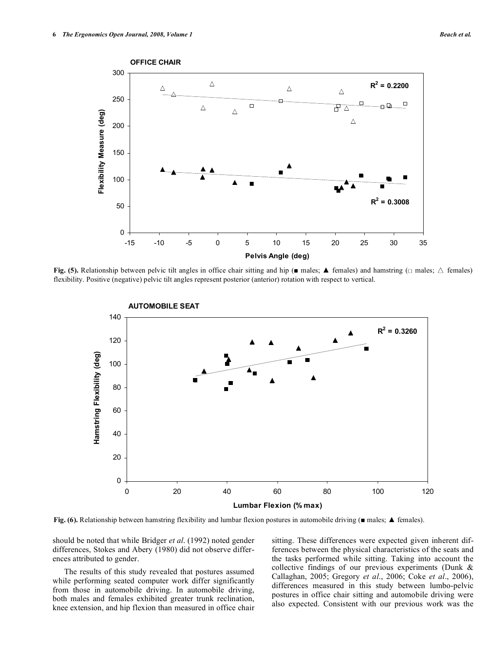

**Fig. (5).** Relationship between pelvic tilt angles in office chair sitting and hip ( $\blacksquare$  males;  $\blacktriangle$  females) and hamstring ( $\Box$  males;  $\triangle$  females) flexibility. Positive (negative) pelvic tilt angles represent posterior (anterior) rotation with respect to vertical.



Fig. (6). Relationship between hamstring flexibility and lumbar flexion postures in automobile driving ( $\blacksquare$  males;  $\blacktriangle$  females).

should be noted that while Bridger *et al*. (1992) noted gender differences, Stokes and Abery (1980) did not observe differences attributed to gender.

 The results of this study revealed that postures assumed while performing seated computer work differ significantly from those in automobile driving. In automobile driving, both males and females exhibited greater trunk reclination, knee extension, and hip flexion than measured in office chair sitting. These differences were expected given inherent differences between the physical characteristics of the seats and the tasks performed while sitting. Taking into account the collective findings of our previous experiments (Dunk & Callaghan, 2005; Gregory *et al*., 2006; Coke *et al*., 2006), differences measured in this study between lumbo-pelvic postures in office chair sitting and automobile driving were also expected. Consistent with our previous work was the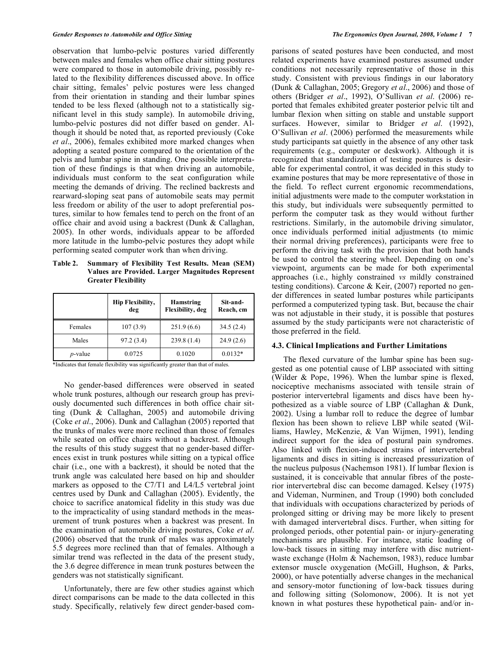observation that lumbo-pelvic postures varied differently between males and females when office chair sitting postures were compared to those in automobile driving, possibly related to the flexibility differences discussed above. In office chair sitting, females' pelvic postures were less changed from their orientation in standing and their lumbar spines tended to be less flexed (although not to a statistically significant level in this study sample). In automobile driving, lumbo-pelvic postures did not differ based on gender. Although it should be noted that, as reported previously (Coke *et al*., 2006), females exhibited more marked changes when adopting a seated posture compared to the orientation of the pelvis and lumbar spine in standing. One possible interpretation of these findings is that when driving an automobile, individuals must conform to the seat configuration while meeting the demands of driving. The reclined backrests and rearward-sloping seat pans of automobile seats may permit less freedom or ability of the user to adopt preferential postures, similar to how females tend to perch on the front of an office chair and avoid using a backrest (Dunk & Callaghan, 2005). In other words, individuals appear to be afforded more latitude in the lumbo-pelvic postures they adopt while performing seated computer work than when driving.

**Table 2. Summary of Flexibility Test Results. Mean (SEM) Values are Provided. Larger Magnitudes Represent Greater Flexibility** 

|            | <b>Hip Flexibility,</b><br>deg | Hamstring<br>Flexibility, deg | Sit-and-<br>Reach, cm |
|------------|--------------------------------|-------------------------------|-----------------------|
| Females    | 107(3.9)                       | 251.9(6.6)                    | 34.5(2.4)             |
| Males      | 97.2(3.4)                      | 239.8(1.4)                    | 24.9(2.6)             |
| $p$ -value | 0.0725                         | 0.1020                        | $0.0132*$             |

\*Indicates that female flexibility was significantly greater than that of males.

 No gender-based differences were observed in seated whole trunk postures, although our research group has previously documented such differences in both office chair sitting (Dunk & Callaghan, 2005) and automobile driving (Coke *et al*., 2006). Dunk and Callaghan (2005) reported that the trunks of males were more reclined than those of females while seated on office chairs without a backrest. Although the results of this study suggest that no gender-based differences exist in trunk postures while sitting on a typical office chair (i.e., one with a backrest), it should be noted that the trunk angle was calculated here based on hip and shoulder markers as opposed to the C7/T1 and L4/L5 vertebral joint centres used by Dunk and Callaghan (2005). Evidently, the choice to sacrifice anatomical fidelity in this study was due to the impracticality of using standard methods in the measurement of trunk postures when a backrest was present. In the examination of automobile driving postures, Coke *et al*. (2006) observed that the trunk of males was approximately 5.5 degrees more reclined than that of females. Although a similar trend was reflected in the data of the present study, the 3.6 degree difference in mean trunk postures between the genders was not statistically significant.

 Unfortunately, there are few other studies against which direct comparisons can be made to the data collected in this study. Specifically, relatively few direct gender-based comparisons of seated postures have been conducted, and most related experiments have examined postures assumed under conditions not necessarily representative of those in this study. Consistent with previous findings in our laboratory (Dunk & Callaghan, 2005; Gregory *et al*., 2006) and those of others (Bridger *et al*., 1992), O'Sullivan *et al*. (2006) reported that females exhibited greater posterior pelvic tilt and lumbar flexion when sitting on stable and unstable support surfaces. However, similar to Bridger *et al*. (1992), O'Sullivan *et al*. (2006) performed the measurements while study participants sat quietly in the absence of any other task requirements (e.g., computer or deskwork). Although it is recognized that standardization of testing postures is desirable for experimental control, it was decided in this study to examine postures that may be more representative of those in the field. To reflect current ergonomic recommendations, initial adjustments were made to the computer workstation in this study, but individuals were subsequently permitted to perform the computer task as they would without further restrictions. Similarly, in the automobile driving simulator, once individuals performed initial adjustments (to mimic their normal driving preferences), participants were free to perform the driving task with the provision that both hands be used to control the steering wheel. Depending on one's viewpoint, arguments can be made for both experimental approaches (i.e., highly constrained *vs* mildly constrained testing conditions). Carcone & Keir, (2007) reported no gender differences in seated lumbar postures while participants performed a computerized typing task. But, because the chair was not adjustable in their study, it is possible that postures assumed by the study participants were not characteristic of those preferred in the field.

## **4.3. Clinical Implications and Further Limitations**

 The flexed curvature of the lumbar spine has been suggested as one potential cause of LBP associated with sitting (Wilder & Pope, 1996). When the lumbar spine is flexed, nociceptive mechanisms associated with tensile strain of posterior intervertebral ligaments and discs have been hypothesized as a viable source of LBP (Callaghan & Dunk, 2002). Using a lumbar roll to reduce the degree of lumbar flexion has been shown to relieve LBP while seated (Williams, Hawley, McKenzie, & Van Wijmen, 1991), lending indirect support for the idea of postural pain syndromes. Also linked with flexion-induced strains of intervertebral ligaments and discs in sitting is increased pressurization of the nucleus pulposus (Nachemson 1981). If lumbar flexion is sustained, it is conceivable that annular fibres of the posterior intervertebral disc can become damaged. Kelsey (1975) and Videman, Nurminen, and Troup (1990) both concluded that individuals with occupations characterized by periods of prolonged sitting or driving may be more likely to present with damaged intervertebral discs. Further, when sitting for prolonged periods, other potential pain- or injury-generating mechanisms are plausible. For instance, static loading of low-back tissues in sitting may interfere with disc nutrientwaste exchange (Holm & Nachemson, 1983), reduce lumbar extensor muscle oxygenation (McGill, Hughson, & Parks, 2000), or have potentially adverse changes in the mechanical and sensory-motor functioning of low-back tissues during and following sitting (Solomonow, 2006). It is not yet known in what postures these hypothetical pain- and/or in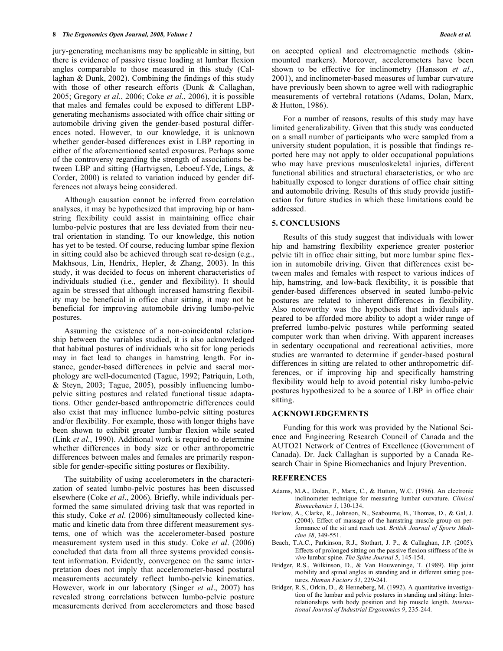jury-generating mechanisms may be applicable in sitting, but there is evidence of passive tissue loading at lumbar flexion angles comparable to those measured in this study (Callaghan & Dunk, 2002). Combining the findings of this study with those of other research efforts (Dunk & Callaghan, 2005; Gregory *et al*., 2006; Coke *et al*., 2006), it is possible that males and females could be exposed to different LBPgenerating mechanisms associated with office chair sitting or automobile driving given the gender-based postural differences noted. However, to our knowledge, it is unknown whether gender-based differences exist in LBP reporting in either of the aforementioned seated exposures. Perhaps some of the controversy regarding the strength of associations between LBP and sitting (Hartvigsen, Leboeuf-Yde, Lings, & Corder, 2000) is related to variation induced by gender differences not always being considered.

 Although causation cannot be inferred from correlation analyses, it may be hypothesized that improving hip or hamstring flexibility could assist in maintaining office chair lumbo-pelvic postures that are less deviated from their neutral orientation in standing. To our knowledge, this notion has yet to be tested. Of course, reducing lumbar spine flexion in sitting could also be achieved through seat re-design (e.g., Makhsous, Lin, Hendrix, Hepler, & Zhang, 2003). In this study, it was decided to focus on inherent characteristics of individuals studied (i.e., gender and flexibility). It should again be stressed that although increased hamstring flexibility may be beneficial in office chair sitting, it may not be beneficial for improving automobile driving lumbo-pelvic postures.

 Assuming the existence of a non-coincidental relationship between the variables studied, it is also acknowledged that habitual postures of individuals who sit for long periods may in fact lead to changes in hamstring length. For instance, gender-based differences in pelvic and sacral morphology are well-documented (Tague, 1992; Patriquin, Loth, & Steyn, 2003; Tague, 2005), possibly influencing lumbopelvic sitting postures and related functional tissue adaptations. Other gender-based anthropometric differences could also exist that may influence lumbo-pelvic sitting postures and/or flexibility. For example, those with longer thighs have been shown to exhibit greater lumbar flexion while seated (Link *et al*., 1990). Additional work is required to determine whether differences in body size or other anthropometric differences between males and females are primarily responsible for gender-specific sitting postures or flexibility.

 The suitability of using accelerometers in the characterization of seated lumbo-pelvic postures has been discussed elsewhere (Coke *et al*., 2006). Briefly, while individuals performed the same simulated driving task that was reported in this study, Coke *et al*. (2006) simultaneously collected kinematic and kinetic data from three different measurement systems, one of which was the accelerometer-based posture measurement system used in this study. Coke *et al*. (2006) concluded that data from all three systems provided consistent information. Evidently, convergence on the same interpretation does not imply that accelerometer-based postural measurements accurately reflect lumbo-pelvic kinematics. However, work in our laboratory (Singer *et al*., 2007) has revealed strong correlations between lumbo-pelvic posture measurements derived from accelerometers and those based

on accepted optical and electromagnetic methods (skinmounted markers). Moreover, accelerometers have been shown to be effective for inclinometry (Hansson *et al*., 2001), and inclinometer-based measures of lumbar curvature have previously been shown to agree well with radiographic measurements of vertebral rotations (Adams, Dolan, Marx, & Hutton, 1986).

 For a number of reasons, results of this study may have limited generalizability. Given that this study was conducted on a small number of participants who were sampled from a university student population, it is possible that findings reported here may not apply to older occupational populations who may have previous musculoskeletal injuries, different functional abilities and structural characteristics, or who are habitually exposed to longer durations of office chair sitting and automobile driving. Results of this study provide justification for future studies in which these limitations could be addressed.

# **5. CONCLUSIONS**

 Results of this study suggest that individuals with lower hip and hamstring flexibility experience greater posterior pelvic tilt in office chair sitting, but more lumbar spine flexion in automobile driving. Given that differences exist between males and females with respect to various indices of hip, hamstring, and low-back flexibility, it is possible that gender-based differences observed in seated lumbo-pelvic postures are related to inherent differences in flexibility. Also noteworthy was the hypothesis that individuals appeared to be afforded more ability to adopt a wider range of preferred lumbo-pelvic postures while performing seated computer work than when driving. With apparent increases in sedentary occupational and recreational activities, more studies are warranted to determine if gender-based postural differences in sitting are related to other anthropometric differences, or if improving hip and specifically hamstring flexibility would help to avoid potential risky lumbo-pelvic postures hypothesized to be a source of LBP in office chair sitting.

#### **ACKNOWLEDGEMENTS**

 Funding for this work was provided by the National Science and Engineering Research Council of Canada and the AUTO21 Network of Centres of Excellence (Government of Canada). Dr. Jack Callaghan is supported by a Canada Research Chair in Spine Biomechanics and Injury Prevention.

## **REFERENCES**

- Adams, M.A., Dolan, P., Marx, C., & Hutton, W.C. (1986). An electronic inclinometer technique for measuring lumbar curvature. *Clinical Biomechanics 1*, 130-134.
- Barlow, A., Clarke, R., Johnson, N., Seabourne, B., Thomas, D., & Gal, J. (2004). Effect of massage of the hamstring muscle group on performance of the sit and reach test. *British Journal of Sports Medicine 38*, 349-551.
- Beach, T.A.C., Parkinson, R.J., Stothart, J. P., & Callaghan, J.P. (2005). Effects of prolonged sitting on the passive flexion stiffness of the *in vivo* lumbar spine. *The Spine Journal 5*, 145-154.
- Bridger, R.S., Wilkinson, D., & Van Houweninge, T. (1989). Hip joint mobility and spinal angles in standing and in different sitting postures. *Human Factors 31*, 229-241.
- Bridger, R.S., Orkin, D., & Henneberg, M. (1992). A quantitative investigation of the lumbar and pelvic postures in standing and sitting: Interrelationships with body position and hip muscle length. *International Journal of Industrial Ergonomics 9*, 235-244.